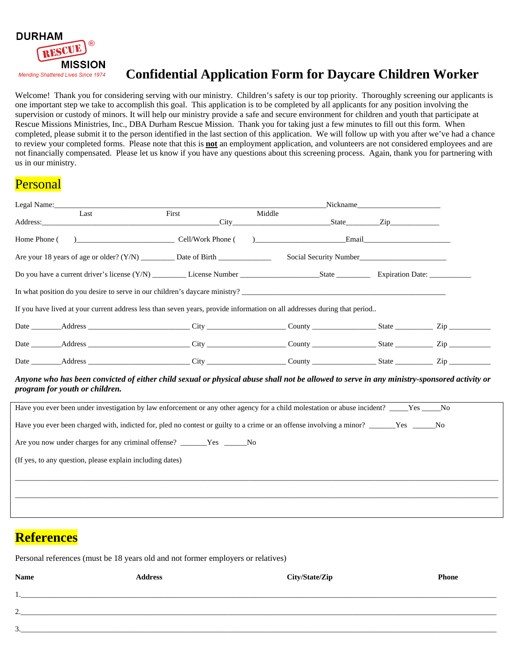

## **Confidential Application Form for Daycare Children Worker**

Welcome! Thank you for considering serving with our ministry. Children's safety is our top priority. Thoroughly screening our applicants is one important step we take to accomplish this goal. This application is to be completed by all applicants for any position involving the supervision or custody of minors. It will help our ministry provide a safe and secure environment for children and youth that participate at Rescue Missions Ministries, Inc., DBA Durham Rescue Mission. Thank you for taking just a few minutes to fill out this form. When completed, please submit it to the person identified in the last section of this application. We will follow up with you after we've had a chance to review your completed forms. Please note that this is **not** an employment application, and volunteers are not considered employees and are not financially compensated. Please let us know if you have any questions about this screening process. Again, thank you for partnering with us in our ministry.

## Personal

| Legal Name:                                                                                                                                                                  |                          |        |                        | Nickname and the contract of the contract of the contract of the contract of the contract of the contract of the contract of the contract of the contract of the contract of the contract of the contract of the contract of t |  |
|------------------------------------------------------------------------------------------------------------------------------------------------------------------------------|--------------------------|--------|------------------------|--------------------------------------------------------------------------------------------------------------------------------------------------------------------------------------------------------------------------------|--|
| Last<br>Address: City State Zip                                                                                                                                              | First                    | Middle |                        |                                                                                                                                                                                                                                |  |
| Home Phone (                                                                                                                                                                 | <b>Cell/Work Phone</b> ( |        | (b) Email              |                                                                                                                                                                                                                                |  |
|                                                                                                                                                                              |                          |        | Social Security Number |                                                                                                                                                                                                                                |  |
|                                                                                                                                                                              |                          |        |                        |                                                                                                                                                                                                                                |  |
| In what position do you desire to serve in our children's daycare ministry?                                                                                                  |                          |        |                        |                                                                                                                                                                                                                                |  |
| If you have lived at your current address less than seven years, provide information on all addresses during that period                                                     |                          |        |                        |                                                                                                                                                                                                                                |  |
| Date ________Address __________________________City __________________County _____________________State ________________Zip                                                  |                          |        |                        |                                                                                                                                                                                                                                |  |
|                                                                                                                                                                              |                          |        |                        |                                                                                                                                                                                                                                |  |
|                                                                                                                                                                              |                          |        |                        |                                                                                                                                                                                                                                |  |
| Anyone who has been convicted of either child sexual or physical abuse shall not be allowed to serve in any ministry-sponsored activity or<br>program for youth or children. |                          |        |                        |                                                                                                                                                                                                                                |  |
| Have you ever been under investigation by law enforcement or any other agency for a child molestation or abuse incident? _____Yes _____No                                    |                          |        |                        |                                                                                                                                                                                                                                |  |
| Have you ever been charged with, indicted for, pled no contest or guilty to a crime or an offense involving a minor? _______Yes _____No                                      |                          |        |                        |                                                                                                                                                                                                                                |  |
| Are you now under charges for any criminal offense? ______Yes _____No                                                                                                        |                          |        |                        |                                                                                                                                                                                                                                |  |
| (If yes, to any question, please explain including dates)                                                                                                                    |                          |        |                        |                                                                                                                                                                                                                                |  |
|                                                                                                                                                                              |                          |        |                        |                                                                                                                                                                                                                                |  |
|                                                                                                                                                                              |                          |        |                        |                                                                                                                                                                                                                                |  |

## **References**

Personal references (must be 18 years old and not former employers or relatives)

| <b>Name</b>              | <b>Address</b> | City/State/Zip | <b>Phone</b> |
|--------------------------|----------------|----------------|--------------|
| . .                      |                |                |              |
| ◠<br><u>.</u>            |                |                |              |
| $\mathbf{c}$<br><u>.</u> |                |                |              |